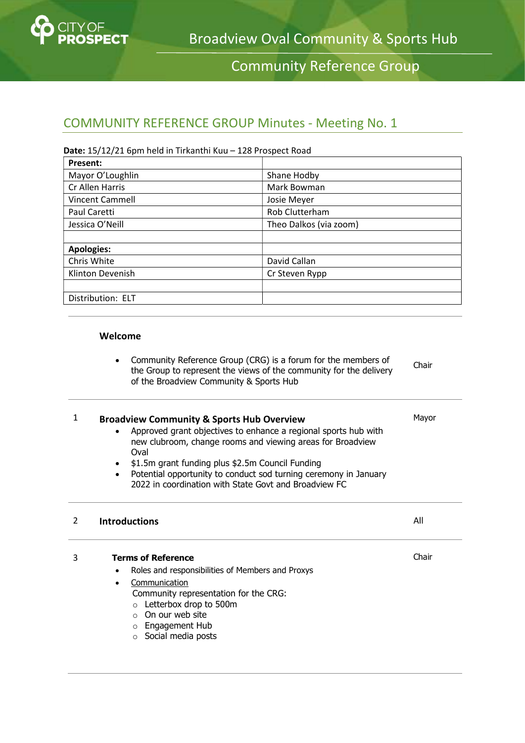

# Community Reference Group

## COMMUNITY REFERENCE GROUP Minutes - Meeting No. 1

### Date: 15/12/21 6pm held in Tirkanthi Kuu – 128 Prospect Road

| <b>Present:</b>                       |                        |  |
|---------------------------------------|------------------------|--|
| Mayor O'Loughlin                      | Shane Hodby            |  |
| Cr Allen Harris                       | Mark Bowman            |  |
| <b>Vincent Cammell</b>                | Josie Meyer            |  |
| <b>Rob Clutterham</b><br>Paul Caretti |                        |  |
| Jessica O'Neill                       | Theo Dalkos (via zoom) |  |
|                                       |                        |  |
| <b>Apologies:</b>                     |                        |  |
| Chris White                           | David Callan           |  |
| Klinton Devenish                      | Cr Steven Rypp         |  |
|                                       |                        |  |
| Distribution: ELT                     |                        |  |

#### Welcome

| Community Reference Group (CRG) is a forum for the members of      | Chair |
|--------------------------------------------------------------------|-------|
| the Group to represent the views of the community for the delivery |       |
| of the Broadview Community & Sports Hub                            |       |

#### 1 Broadview Community & Sports Hub Overview Approved grant objectives to enhance a regional sports hub with new clubroom, change rooms and viewing areas for Broadview Oval  $\bullet$  \$1.5m grant funding plus \$2.5m Council Funding Potential opportunity to conduct sod turning ceremony in January 2022 in coordination with State Govt and Broadview FC Mayor

### 2 Introductions All

Chair

3 Terms of Reference

- Roles and responsibilities of Members and Proxys
	- Communication Community representation for the CRG:
		- o Letterbox drop to 500m
		- o On our web site
		- o Engagement Hub
		- o Social media posts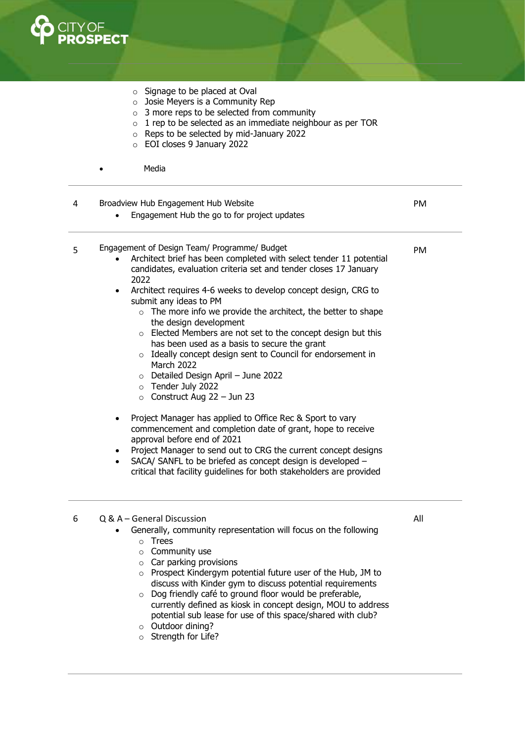

- o Signage to be placed at Oval
- o Josie Meyers is a Community Rep
- $\circ$  3 more reps to be selected from community
- $\circ$  1 rep to be selected as an immediate neighbour as per TOR
- o Reps to be selected by mid-January 2022
- o EOI closes 9 January 2022
- Media

| 4 | Broadview Hub Engagement Hub Website<br>Engagement Hub the go to for project updates                                                                                                                                                                                                                                                                                                                                                                                                                                                                                                                                                                                                                                                                                                                                                                                                                                                                                                                                                                                                                    | PM  |
|---|---------------------------------------------------------------------------------------------------------------------------------------------------------------------------------------------------------------------------------------------------------------------------------------------------------------------------------------------------------------------------------------------------------------------------------------------------------------------------------------------------------------------------------------------------------------------------------------------------------------------------------------------------------------------------------------------------------------------------------------------------------------------------------------------------------------------------------------------------------------------------------------------------------------------------------------------------------------------------------------------------------------------------------------------------------------------------------------------------------|-----|
| 5 | Engagement of Design Team/ Programme/ Budget<br>Architect brief has been completed with select tender 11 potential<br>candidates, evaluation criteria set and tender closes 17 January<br>2022<br>Architect requires 4-6 weeks to develop concept design, CRG to<br>$\bullet$<br>submit any ideas to PM<br>$\circ$ The more info we provide the architect, the better to shape<br>the design development<br>Elected Members are not set to the concept design but this<br>$\circ$<br>has been used as a basis to secure the grant<br>Ideally concept design sent to Council for endorsement in<br>$\circ$<br>March 2022<br>$\circ$ Detailed Design April - June 2022<br>$\circ$ Tender July 2022<br>$\circ$ Construct Aug 22 - Jun 23<br>Project Manager has applied to Office Rec & Sport to vary<br>commencement and completion date of grant, hope to receive<br>approval before end of 2021<br>Project Manager to send out to CRG the current concept designs<br>SACA/ SANFL to be briefed as concept design is developed -<br>critical that facility guidelines for both stakeholders are provided | PM  |
| 6 | Q & A – General Discussion<br>Generally, community representation will focus on the following<br>Trees<br>$\circ$<br>$\circ$ Community use<br>$\circ$ Car parking provisions<br>$\circ$ Prospect Kindergym potential future user of the Hub, JM to<br>discuss with Kinder gym to discuss potential requirements<br>Dog friendly café to ground floor would be preferable,<br>$\circ$<br>currently defined as kieck in concent decian. MOU to address                                                                                                                                                                                                                                                                                                                                                                                                                                                                                                                                                                                                                                                    | All |

- currently defined as kiosk in concept design, MOU to address potential sub lease for use of this space/shared with club? o Outdoor dining?
- 
- o Strength for Life?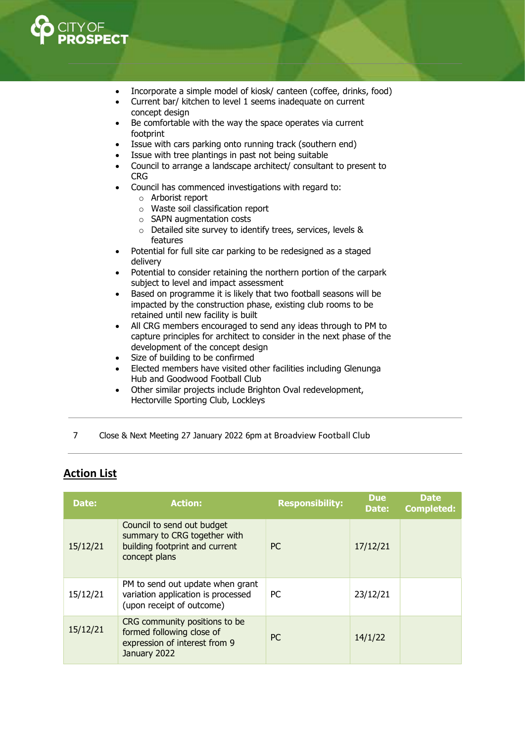

- Incorporate a simple model of kiosk/ canteen (coffee, drinks, food)
- Current bar/ kitchen to level 1 seems inadequate on current concept design
- Be comfortable with the way the space operates via current footprint
- Issue with cars parking onto running track (southern end)
- Issue with tree plantings in past not being suitable
- Council to arrange a landscape architect/ consultant to present to CRG
- Council has commenced investigations with regard to:
	- o Arborist report
	- o Waste soil classification report
	- o SAPN augmentation costs
	- o Detailed site survey to identify trees, services, levels & features
- Potential for full site car parking to be redesigned as a staged delivery
- Potential to consider retaining the northern portion of the carpark subject to level and impact assessment
- Based on programme it is likely that two football seasons will be impacted by the construction phase, existing club rooms to be retained until new facility is built
- All CRG members encouraged to send any ideas through to PM to capture principles for architect to consider in the next phase of the development of the concept design
- Size of building to be confirmed
- Elected members have visited other facilities including Glenunga Hub and Goodwood Football Club
- Other similar projects include Brighton Oval redevelopment, Hectorville Sporting Club, Lockleys
- 7 Close & Next Meeting 27 January 2022 6pm at Broadview Football Club

### Action List

| Date:    | <b>Action:</b>                                                                                                | <b>Responsibility:</b> | <b>Due</b><br>Date: | <b>Date</b><br><b>Completed:</b> |
|----------|---------------------------------------------------------------------------------------------------------------|------------------------|---------------------|----------------------------------|
| 15/12/21 | Council to send out budget<br>summary to CRG together with<br>building footprint and current<br>concept plans | PC.                    | 17/12/21            |                                  |
| 15/12/21 | PM to send out update when grant<br>variation application is processed<br>(upon receipt of outcome)           | PC.                    | 23/12/21            |                                  |
| 15/12/21 | CRG community positions to be<br>formed following close of<br>expression of interest from 9<br>January 2022   | <b>PC</b>              | 14/1/22             |                                  |